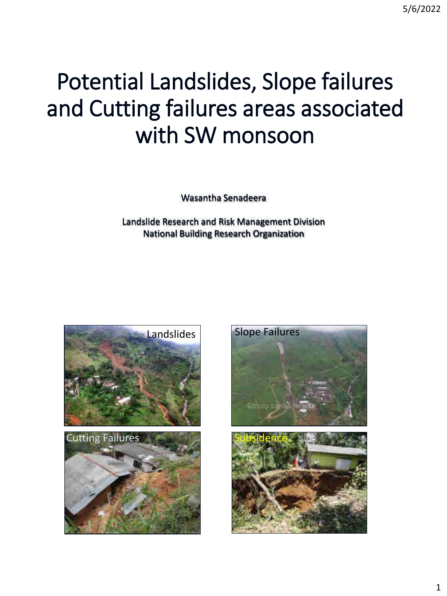# Potential Landslides, Slope failures and Cutting failures areas associated with SW monsoon

Wasantha Senadeera

Landslide Research and Risk Management Division National Building Research Organization



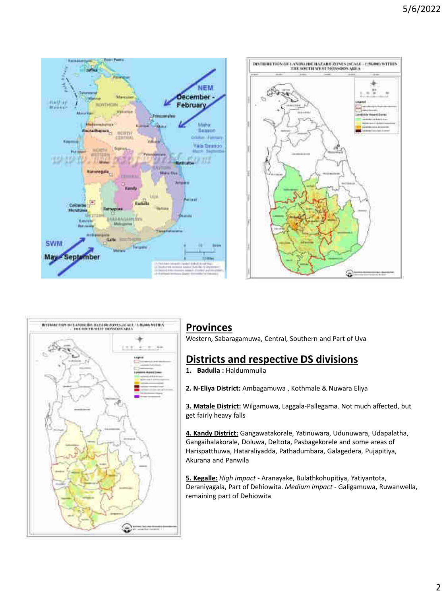





#### **Provinces**

Western, Sabaragamuwa, Central, Southern and Part of Uva

### **Districts and respective DS divisions**

**1. Badulla :** Haldummulla

**2. N-Eliya District:** Ambagamuwa , Kothmale & Nuwara Eliya

**3. Matale District:** Wilgamuwa, Laggala-Pallegama. Not much affected, but get fairly heavy falls

**4. Kandy District:** Gangawatakorale, Yatinuwara, Udunuwara, Udapalatha, Gangaihalakorale, Doluwa, Deltota, Pasbagekorele and some areas of Harispatthuwa, Hataraliyadda, Pathadumbara, Galagedera, Pujapitiya, Akurana and Panwila

**5. Kegalle:** *High impact* - Aranayake, Bulathkohupitiya, Yatiyantota, Deraniyagala, Part of Dehiowita. *Medium impact* - Galigamuwa, Ruwanwella, remaining part of Dehiowita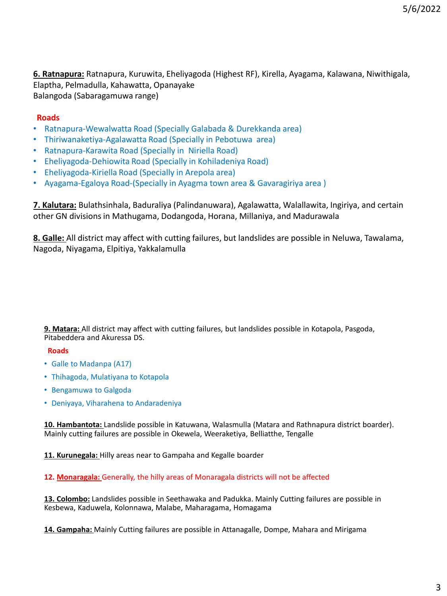**6. Ratnapura:** Ratnapura, Kuruwita, Eheliyagoda (Highest RF), Kirella, Ayagama, Kalawana, Niwithigala, Elaptha, Pelmadulla, Kahawatta, Opanayake Balangoda (Sabaragamuwa range)

#### **Roads**

- Ratnapura-Wewalwatta Road (Specially Galabada & Durekkanda area)
- Thiriwanaketiya-Agalawatta Road (Specially in Pebotuwa area)
- Ratnapura-Karawita Road (Specially in Niriella Road)
- Eheliyagoda-Dehiowita Road (Specially in Kohiladeniya Road)
- Eheliyagoda-Kiriella Road (Specially in Arepola area)
- Ayagama-Egaloya Road-(Specially in Ayagma town area & Gavaragiriya area )

**7. Kalutara:** Bulathsinhala, Baduraliya (Palindanuwara), Agalawatta, Walallawita, Ingiriya, and certain other GN divisions in Mathugama, Dodangoda, Horana, Millaniya, and Madurawala

**8. Galle:** All district may affect with cutting failures, but landslides are possible in Neluwa, Tawalama, Nagoda, Niyagama, Elpitiya, Yakkalamulla

**9. Matara:** All district may affect with cutting failures, but landslides possible in Kotapola, Pasgoda, Pitabeddera and Akuressa DS.

#### **Roads**

- Galle to Madanpa (A17)
- Thihagoda, Mulatiyana to Kotapola
- Bengamuwa to Galgoda
- Deniyaya, Viharahena to Andaradeniya

**10. Hambantota:** Landslide possible in Katuwana, Walasmulla (Matara and Rathnapura district boarder). Mainly cutting failures are possible in Okewela, Weeraketiya, Belliatthe, Tengalle

**11. Kurunegala:** Hilly areas near to Gampaha and Kegalle boarder

#### **12. Monaragala:** Generally, the hilly areas of Monaragala districts will not be affected

**13. Colombo:** Landslides possible in Seethawaka and Padukka. Mainly Cutting failures are possible in Kesbewa, Kaduwela, Kolonnawa, Malabe, Maharagama, Homagama

**14. Gampaha:** Mainly Cutting failures are possible in Attanagalle, Dompe, Mahara and Mirigama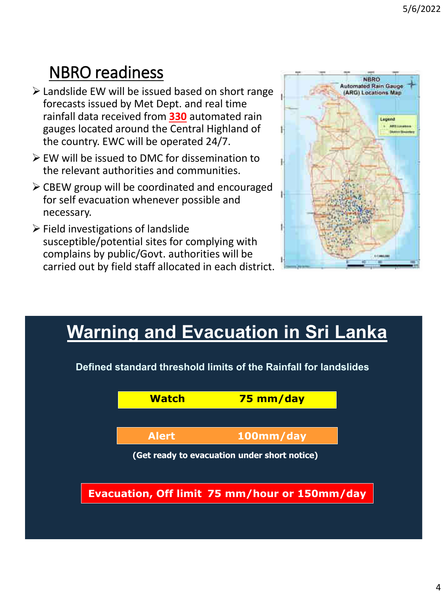# NBRO readiness

- $\triangleright$  Landslide EW will be issued based on short range forecasts issued by Met Dept. and real time rainfall data received from **330** automated rain gauges located around the Central Highland of the country. EWC will be operated 24/7.
- EW will be issued to DMC for dissemination to the relevant authorities and communities.
- $\triangleright$  CBEW group will be coordinated and encouraged for self evacuation whenever possible and necessary.
- $\triangleright$  Field investigations of landslide susceptible/potential sites for complying with complains by public/Govt. authorities will be carried out by field staff allocated in each district.



# **Warning and Evacuation in Sri Lanka**

**Evacuation, Off limit 75 mm/hour or 150mm/day Watch 75 mm/day Alert 100mm/day (Get ready to evacuation under short notice) Defined standard threshold limits of the Rainfall for landslides**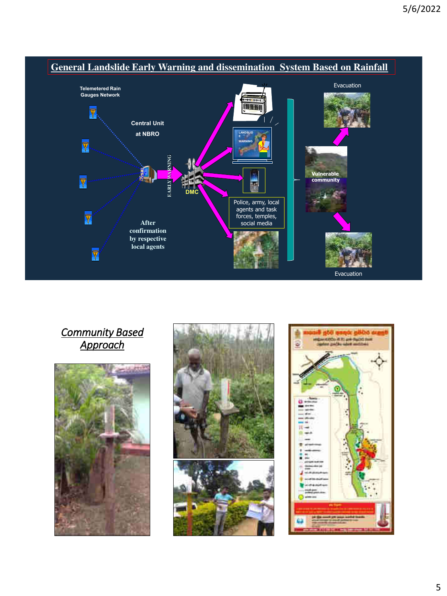

### *Community Based Approach*





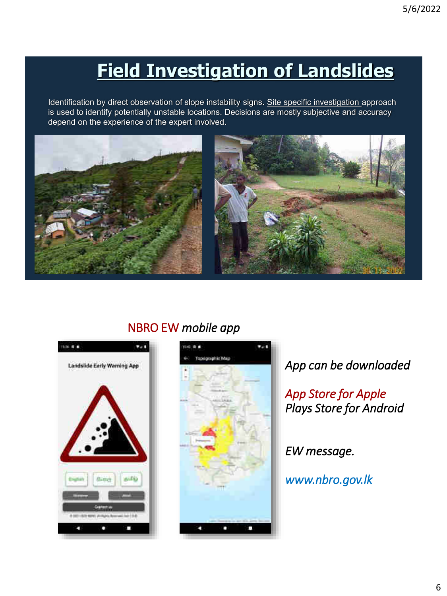# **Field Investigation of Landslides**

Identification by direct observation of slope instability signs. Site specific investigation approach is used to identify potentially unstable locations. Decisions are mostly subjective and accuracy depend on the experience of the expert involved.



NBRO EW *mobile app*





*App can be downloaded*

*App Store for Apple Plays Store for Android* 

*EW message.*

*www.nbro.gov.lk*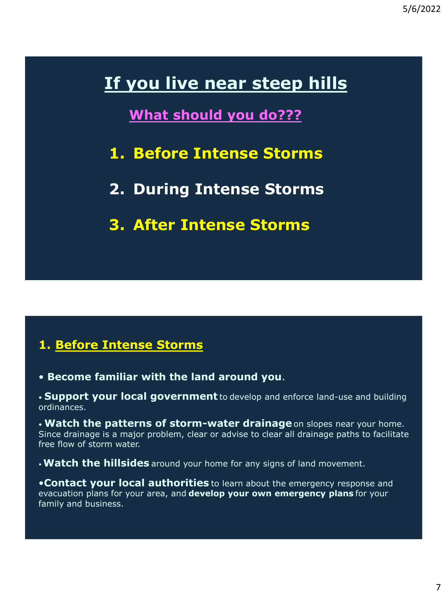# **If you live near steep hills**

## **What should you do???**

- **1. Before Intense Storms**
- **2. During Intense Storms**
- **3. After Intense Storms**

### **1. Before Intense Storms**

• **Become familiar with the land around you**.

• **Support your local government** to develop and enforce land-use and building ordinances.

• **Watch the patterns of storm-water drainage**on slopes near your home. Since drainage is a major problem, clear or advise to clear all drainage paths to facilitate free flow of storm water.

•**Watch the hillsides** around your home for any signs of land movement.

•**Contact your local authorities** to learn about the emergency response and evacuation plans for your area, and **develop your own emergency plans** for your family and business.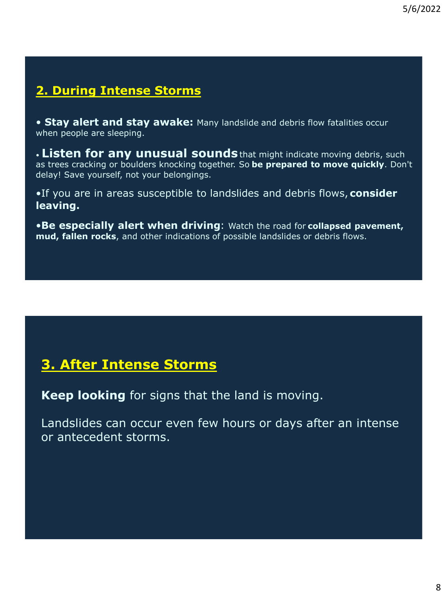## **2. During Intense Storms**

• **Stay alert and stay awake:** Many landslide and debris flow fatalities occur when people are sleeping.

• **Listen for any unusual sounds**that might indicate moving debris, such as trees cracking or boulders knocking together. So **be prepared to move quickly**. Don't delay! Save yourself, not your belongings.

•If you are in areas susceptible to landslides and debris flows, **consider leaving.**

•**Be especially alert when driving**: Watch the road for **collapsed pavement, mud, fallen rocks**, and other indications of possible landslides or debris flows.

## **3. After Intense Storms**

**Keep looking** for signs that the land is moving.

Landslides can occur even few hours or days after an intense or antecedent storms.